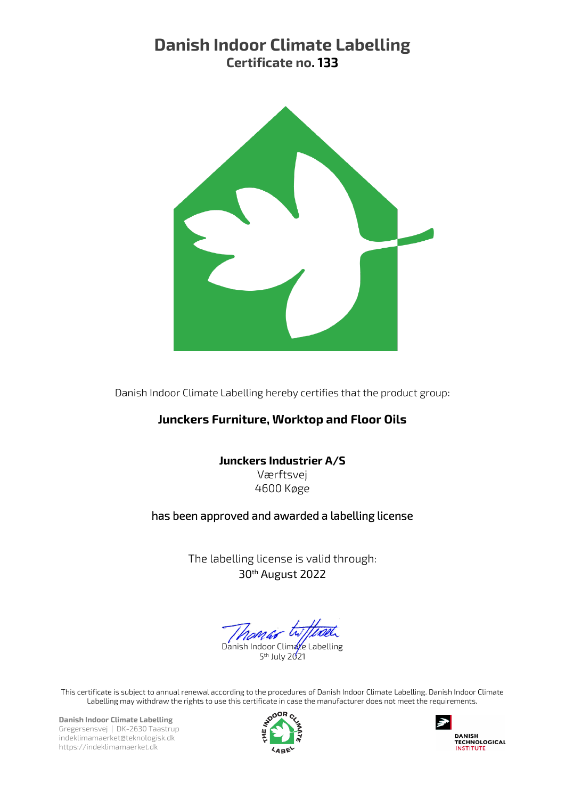# Danish Indoor Climate Labelling Certificate no. 133



Danish Indoor Climate Labelling hereby certifies that the product group:

## Junckers Furniture, Worktop and Floor Oils

## Junckers Industrier A/S

Værftsvej 4600 Køge

## has been approved and awarded a labelling license

The labelling license is valid through: 30th August 2022

Danish Indoor Climate Labelling 5<sup>th</sup> July 2021

This certificate is subject to annual renewal according to the procedures of Danish Indoor Climate Labelling. Danish Indoor Climate Labelling may withdraw the rights to use this certificate in case the manufacturer does not meet the requirements.

Danish Indoor Climate Labelling Gregersensvej | DK-2630 Taastrup indeklimamaerket@teknologisk.dk https://indeklimamaerket.dk